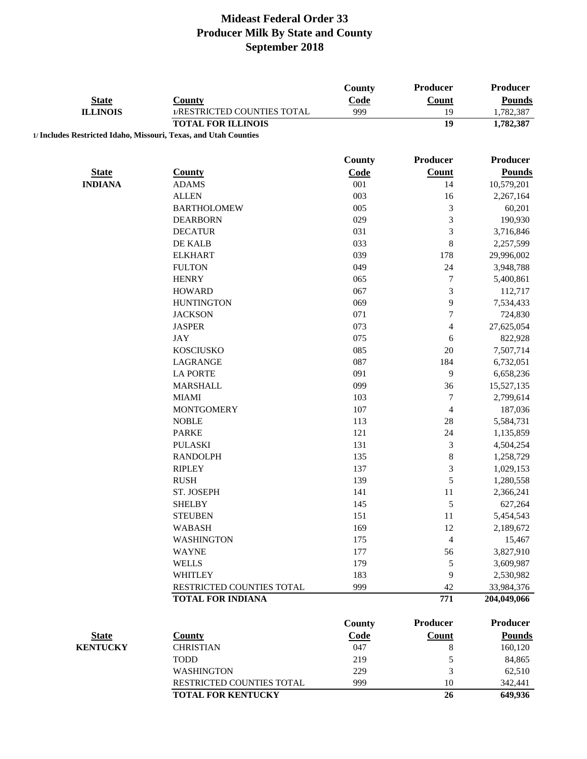|                                                                  |                             | <b>County</b> | Producer                | Producer        |
|------------------------------------------------------------------|-----------------------------|---------------|-------------------------|-----------------|
| <b>State</b>                                                     | <b>County</b>               | Code          | Count                   | <b>Pounds</b>   |
| <b>ILLINOIS</b>                                                  | 1/RESTRICTED COUNTIES TOTAL | 999           | 19                      | 1,782,387       |
|                                                                  | <b>TOTAL FOR ILLINOIS</b>   |               | 19                      | 1,782,387       |
| 1/ Includes Restricted Idaho, Missouri, Texas, and Utah Counties |                             |               |                         |                 |
|                                                                  |                             | <b>County</b> | Producer                | <b>Producer</b> |
| <b>State</b>                                                     | <b>County</b>               | Code          | Count                   | <b>Pounds</b>   |
| <b>INDIANA</b>                                                   | <b>ADAMS</b>                | 001           | 14                      | 10,579,201      |
|                                                                  | <b>ALLEN</b>                | 003           | 16                      | 2,267,164       |
|                                                                  | <b>BARTHOLOMEW</b>          | 005           | $\mathfrak{Z}$          | 60,201          |
|                                                                  | <b>DEARBORN</b>             | 029           | $\mathfrak{Z}$          | 190,930         |
|                                                                  | <b>DECATUR</b>              | 031           | $\sqrt{3}$              | 3,716,846       |
|                                                                  | DE KALB                     | 033           | $\,8\,$                 | 2,257,599       |
|                                                                  | <b>ELKHART</b>              | 039           | 178                     | 29,996,002      |
|                                                                  | <b>FULTON</b>               | 049           | 24                      | 3,948,788       |
|                                                                  | <b>HENRY</b>                | 065           | $\boldsymbol{7}$        | 5,400,861       |
|                                                                  | <b>HOWARD</b>               | 067           | $\mathfrak{Z}$          | 112,717         |
|                                                                  | <b>HUNTINGTON</b>           | 069           | 9                       | 7,534,433       |
|                                                                  | <b>JACKSON</b>              | 071           | 7                       | 724,830         |
|                                                                  | <b>JASPER</b>               | 073           | $\overline{\mathbf{4}}$ | 27,625,054      |
|                                                                  | <b>JAY</b>                  | 075           | 6                       | 822,928         |
|                                                                  | <b>KOSCIUSKO</b>            | 085           | $20\,$                  | 7,507,714       |
|                                                                  | LAGRANGE                    | 087           | 184                     | 6,732,051       |
|                                                                  | <b>LA PORTE</b>             | 091           | 9                       | 6,658,236       |
|                                                                  | <b>MARSHALL</b>             | 099           | 36                      | 15,527,135      |
|                                                                  | <b>MIAMI</b>                | 103           | $\boldsymbol{7}$        | 2,799,614       |
|                                                                  | <b>MONTGOMERY</b>           | 107           | $\overline{4}$          | 187,036         |
|                                                                  | <b>NOBLE</b>                | 113           | $28\,$                  | 5,584,731       |
|                                                                  | <b>PARKE</b>                | 121           | 24                      | 1,135,859       |
|                                                                  |                             |               | $\mathfrak{Z}$          |                 |
|                                                                  | <b>PULASKI</b>              | 131           |                         | 4,504,254       |
|                                                                  | <b>RANDOLPH</b>             | 135           | $\,8\,$                 | 1,258,729       |
|                                                                  | <b>RIPLEY</b>               | 137           | 3                       | 1,029,153       |
|                                                                  | <b>RUSH</b>                 | 139           | 5                       | 1,280,558       |
|                                                                  | ST. JOSEPH                  | 141           | 11                      | 2,366,241       |
|                                                                  | <b>SHELBY</b>               | 145           | 5                       | 627,264         |
|                                                                  | <b>STEUBEN</b>              | 151           | 11                      | 5,454,543       |
|                                                                  | <b>WABASH</b>               | 169           | 12                      | 2,189,672       |
|                                                                  | <b>WASHINGTON</b>           | 175           | $\overline{4}$          | 15,467          |
|                                                                  | <b>WAYNE</b>                | 177           | 56                      | 3,827,910       |
|                                                                  | <b>WELLS</b>                | 179           | 5                       | 3,609,987       |
|                                                                  | <b>WHITLEY</b>              | 183           | 9                       | 2,530,982       |
|                                                                  | RESTRICTED COUNTIES TOTAL   | 999           | 42                      | 33,984,376      |
|                                                                  | <b>TOTAL FOR INDIANA</b>    |               | 771                     | 204,049,066     |
|                                                                  |                             | <b>County</b> | <b>Producer</b>         | <b>Producer</b> |
| <b>State</b>                                                     | <b>County</b>               | Code          | <b>Count</b>            | <b>Pounds</b>   |
| <b>KENTUCKY</b>                                                  | <b>CHRISTIAN</b>            | 047           | 8                       | 160,120         |
|                                                                  | <b>TODD</b>                 | 219           | $\sqrt{5}$              | 84,865          |
|                                                                  | <b>WASHINGTON</b>           | 229           | 3                       | 62,510          |
|                                                                  | RESTRICTED COUNTIES TOTAL   | 999           | 10                      | 342,441         |
|                                                                  | <b>TOTAL FOR KENTUCKY</b>   |               | 26                      | 649,936         |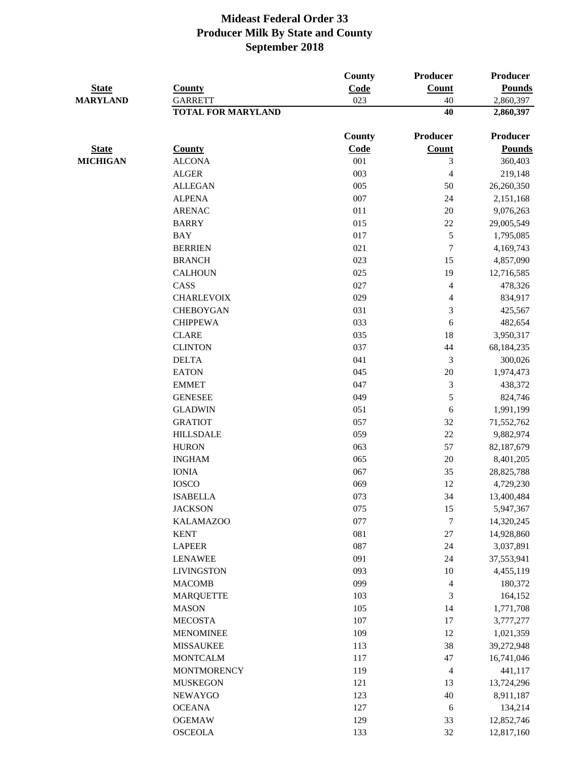| <b>State</b><br><b>MARYLAND</b> |                           | County<br>Code | Producer<br>Count<br>40  | <b>Producer</b><br><b>Pounds</b> |
|---------------------------------|---------------------------|----------------|--------------------------|----------------------------------|
|                                 | <b>County</b>             |                |                          |                                  |
|                                 | <b>GARRETT</b>            | 023            |                          | 2,860,397                        |
|                                 | <b>TOTAL FOR MARYLAND</b> |                | 40                       | 2,860,397                        |
|                                 |                           | County         | Producer                 | Producer                         |
| <b>State</b>                    | <b>County</b>             | Code           | Count                    | <b>Pounds</b>                    |
| <b>MICHIGAN</b>                 | <b>ALCONA</b>             | 001            | 3                        | 360,403                          |
|                                 | <b>ALGER</b>              | 003            | $\overline{\mathcal{L}}$ | 219,148                          |
|                                 | <b>ALLEGAN</b>            | 005            | 50                       | 26,260,350                       |
|                                 | <b>ALPENA</b>             | 007            | 24                       | 2,151,168                        |
|                                 | <b>ARENAC</b>             | 011            | 20                       | 9,076,263                        |
|                                 | <b>BARRY</b>              | 015            | 22                       | 29,005,549                       |
|                                 | <b>BAY</b>                | 017            | 5                        | 1,795,085                        |
|                                 | <b>BERRIEN</b>            | 021            | $\overline{7}$           | 4,169,743                        |
|                                 | <b>BRANCH</b>             | 023            | 15                       | 4,857,090                        |
|                                 | <b>CALHOUN</b>            | 025            | 19                       | 12,716,585                       |
|                                 | CASS                      | 027            | $\overline{\mathcal{L}}$ | 478,326                          |
|                                 | <b>CHARLEVOIX</b>         | 029            | 4                        | 834,917                          |
|                                 | <b>CHEBOYGAN</b>          | 031            | 3                        | 425,567                          |
|                                 | <b>CHIPPEWA</b>           | 033            | 6                        | 482,654                          |
|                                 | <b>CLARE</b>              | 035            | 18                       | 3,950,317                        |
|                                 | <b>CLINTON</b>            | 037            | 44                       | 68,184,235                       |
|                                 | <b>DELTA</b>              | 041            | 3                        | 300,026                          |
|                                 | <b>EATON</b>              | 045            | 20                       | 1,974,473                        |
|                                 | <b>EMMET</b>              | 047            | 3                        | 438,372                          |
|                                 | <b>GENESEE</b>            | 049            | 5                        | 824,746                          |
|                                 | <b>GLADWIN</b>            | 051            | 6                        | 1,991,199                        |
|                                 | <b>GRATIOT</b>            | 057            | 32                       | 71,552,762                       |
|                                 | <b>HILLSDALE</b>          | 059            | 22                       | 9,882,974                        |
|                                 | <b>HURON</b>              | 063            | 57                       | 82,187,679                       |
|                                 | <b>INGHAM</b>             | 065            | $20\,$                   | 8,401,205                        |
|                                 | <b>IONIA</b>              | 067            | 35                       | 28,825,788                       |
|                                 | <b>IOSCO</b>              | 069            | 12                       | 4,729,230                        |
|                                 | <b>ISABELLA</b>           | 073            | 34                       | 13,400,484                       |
|                                 | <b>JACKSON</b>            | 075            | 15                       | 5,947,367                        |
|                                 | <b>KALAMAZOO</b>          | 077            | $\sqrt{ }$               | 14,320,245                       |
|                                 | <b>KENT</b>               | 081            | $27\,$                   | 14,928,860                       |
|                                 | <b>LAPEER</b>             | 087            | 24                       | 3,037,891                        |
|                                 | <b>LENAWEE</b>            | 091            | 24                       | 37,553,941                       |
|                                 | <b>LIVINGSTON</b>         | 093            | 10                       | 4,455,119                        |
|                                 | <b>MACOMB</b>             | 099            | 4                        | 180,372                          |
|                                 | <b>MARQUETTE</b>          | 103            | 3                        | 164,152                          |
|                                 | <b>MASON</b>              | 105            | 14                       | 1,771,708                        |
|                                 | <b>MECOSTA</b>            | 107            | 17                       | 3,777,277                        |
|                                 | <b>MENOMINEE</b>          | 109            | 12                       | 1,021,359                        |
|                                 | <b>MISSAUKEE</b>          | 113            | 38                       | 39,272,948                       |
|                                 | <b>MONTCALM</b>           | 117            | 47                       | 16,741,046                       |
|                                 | <b>MONTMORENCY</b>        | 119            | 4                        | 441,117                          |
|                                 | <b>MUSKEGON</b>           | 121            | 13                       | 13,724,296                       |
|                                 | NEWAYGO                   | 123            | 40                       | 8,911,187                        |
|                                 | <b>OCEANA</b>             | 127            | 6                        | 134,214                          |
|                                 | <b>OGEMAW</b>             | 129            | 33                       | 12,852,746                       |
|                                 | <b>OSCEOLA</b>            | 133            | 32                       | 12,817,160                       |
|                                 |                           |                |                          |                                  |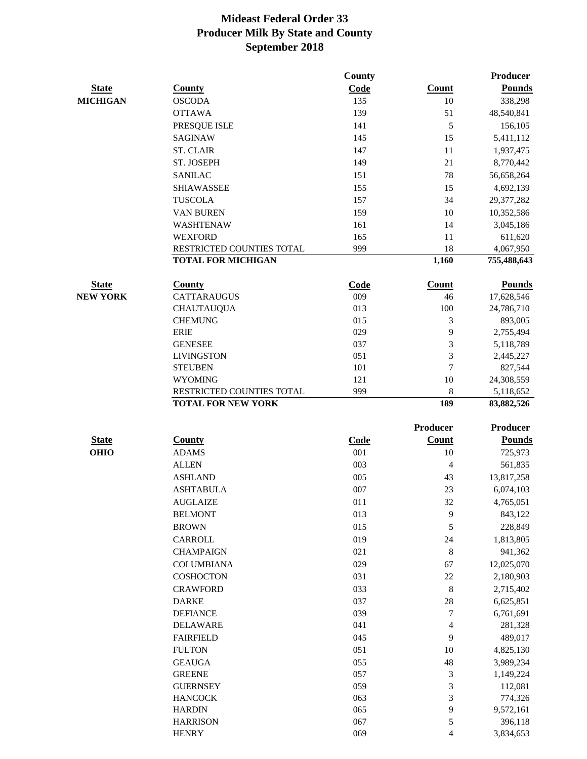|                             |                                                        | County             |                 | Producer                |
|-----------------------------|--------------------------------------------------------|--------------------|-----------------|-------------------------|
| <b>State</b>                | <b>County</b>                                          | Code               | Count           | <b>Pounds</b>           |
| <b>MICHIGAN</b>             | <b>OSCODA</b>                                          | 135                | 10              | 338,298                 |
|                             | <b>OTTAWA</b>                                          | 139                | 51              | 48,540,841              |
|                             | PRESQUE ISLE                                           | 141                | 5               | 156,105                 |
|                             | <b>SAGINAW</b>                                         | 145                | 15              | 5,411,112               |
|                             | <b>ST. CLAIR</b>                                       | 147                | 11              | 1,937,475               |
|                             | ST. JOSEPH                                             | 149                | 21              | 8,770,442               |
|                             | <b>SANILAC</b>                                         | 151                | 78              | 56,658,264              |
|                             | <b>SHIAWASSEE</b>                                      | 155                | 15              | 4,692,139               |
|                             | <b>TUSCOLA</b>                                         | 157                | 34              | 29,377,282              |
|                             | VAN BUREN                                              | 159                | 10              | 10,352,586              |
|                             | WASHTENAW                                              | 161                | 14              | 3,045,186               |
|                             | <b>WEXFORD</b>                                         | 165                | 11              | 611,620                 |
|                             | RESTRICTED COUNTIES TOTAL                              | 999                | 18              | 4,067,950               |
|                             | <b>TOTAL FOR MICHIGAN</b>                              |                    | 1,160           | 755,488,643             |
| <b>State</b>                | <b>County</b>                                          | Code               | Count           | <b>Pounds</b>           |
| <b>NEW YORK</b>             | <b>CATTARAUGUS</b>                                     | 009                | 46              | 17,628,546              |
|                             | <b>CHAUTAUQUA</b>                                      | 013                | 100             | 24,786,710              |
|                             | <b>CHEMUNG</b>                                         | 015                | 3               | 893,005                 |
|                             | <b>ERIE</b>                                            | 029                | 9               | 2,755,494               |
|                             | <b>GENESEE</b>                                         | 037                | 3               | 5,118,789               |
|                             | <b>LIVINGSTON</b>                                      | 051                | 3               | 2,445,227               |
|                             | <b>STEUBEN</b>                                         | 101                | $\tau$          | 827,544                 |
|                             | <b>WYOMING</b>                                         | 121                | 10              | 24,308,559              |
|                             | RESTRICTED COUNTIES TOTAL<br><b>TOTAL FOR NEW YORK</b> | 999                | $\,8\,$<br>189  | 5,118,652<br>83,882,526 |
|                             |                                                        |                    | <b>Producer</b> | <b>Producer</b>         |
|                             |                                                        |                    | <b>Count</b>    | <b>Pounds</b>           |
| <b>State</b><br><b>OHIO</b> | <b>County</b><br><b>ADAMS</b>                          | <b>Code</b><br>001 | 10              | 725,973                 |
|                             | <b>ALLEN</b>                                           | 003                | $\overline{4}$  |                         |
|                             | <b>ASHLAND</b>                                         | 005                |                 | 561,835                 |
|                             | <b>ASHTABULA</b>                                       | 007                | 43<br>23        | 13,817,258              |
|                             | <b>AUGLAIZE</b>                                        | 011                | 32              | 6,074,103<br>4,765,051  |
|                             | <b>BELMONT</b>                                         | 013                | 9               | 843,122                 |
|                             |                                                        | 015                | 5               |                         |
|                             | <b>BROWN</b><br>CARROLL                                | 019                | 24              | 228,849<br>1,813,805    |
|                             | <b>CHAMPAIGN</b>                                       | 021                | $\,8\,$         | 941,362                 |
|                             |                                                        | 029                |                 |                         |
|                             | <b>COLUMBIANA</b><br><b>COSHOCTON</b>                  | 031                | 67<br>22        | 12,025,070              |
|                             | <b>CRAWFORD</b>                                        | 033                |                 | 2,180,903               |
|                             |                                                        | 037                | 8<br>28         | 2,715,402<br>6,625,851  |
|                             | <b>DARKE</b><br><b>DEFIANCE</b>                        | 039                | 7               | 6,761,691               |
|                             | <b>DELAWARE</b>                                        | 041                | $\overline{4}$  | 281,328                 |
|                             | <b>FAIRFIELD</b>                                       | 045                | 9               | 489,017                 |
|                             | <b>FULTON</b>                                          | 051                | 10              | 4,825,130               |
|                             | <b>GEAUGA</b>                                          | 055                | 48              | 3,989,234               |
|                             | <b>GREENE</b>                                          | 057                | $\mathfrak{Z}$  | 1,149,224               |
|                             | <b>GUERNSEY</b>                                        | 059                | 3               | 112,081                 |
|                             | <b>HANCOCK</b>                                         | 063                | 3               | 774,326                 |
|                             | <b>HARDIN</b>                                          | 065                | 9               | 9,572,161               |
|                             | <b>HARRISON</b>                                        | 067                | 5               | 396,118                 |
|                             | <b>HENRY</b>                                           | 069                | $\overline{4}$  | 3,834,653               |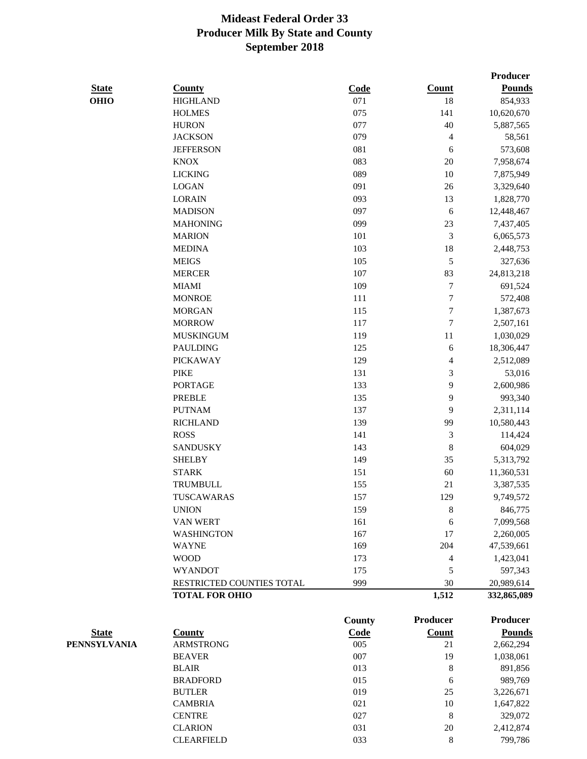|              |                           |               |                  | Producer        |
|--------------|---------------------------|---------------|------------------|-----------------|
| <b>State</b> | <b>County</b>             | Code          | Count            | <b>Pounds</b>   |
| <b>OHIO</b>  | <b>HIGHLAND</b>           | 071           | 18               | 854,933         |
|              | <b>HOLMES</b>             | 075           | 141              | 10,620,670      |
|              | <b>HURON</b>              | 077           | 40               | 5,887,565       |
|              | <b>JACKSON</b>            | 079           | 4                | 58,561          |
|              | <b>JEFFERSON</b>          | 081           | 6                | 573,608         |
|              | <b>KNOX</b>               | 083           | 20               | 7,958,674       |
|              | <b>LICKING</b>            | 089           | 10               | 7,875,949       |
|              | <b>LOGAN</b>              | 091           | 26               | 3,329,640       |
|              | <b>LORAIN</b>             | 093           | 13               | 1,828,770       |
|              | <b>MADISON</b>            | 097           | $\sqrt{6}$       | 12,448,467      |
|              | <b>MAHONING</b>           | 099           | $23\,$           | 7,437,405       |
|              | <b>MARION</b>             | 101           | 3                | 6,065,573       |
|              | <b>MEDINA</b>             | 103           | 18               | 2,448,753       |
|              | <b>MEIGS</b>              | 105           | 5                | 327,636         |
|              | <b>MERCER</b>             | 107           | 83               | 24,813,218      |
|              | <b>MIAMI</b>              | 109           | $\tau$           | 691,524         |
|              | <b>MONROE</b>             | 111           | $\tau$           | 572,408         |
|              | <b>MORGAN</b>             | 115           | $\boldsymbol{7}$ | 1,387,673       |
|              | <b>MORROW</b>             | 117           | $\tau$           | 2,507,161       |
|              | <b>MUSKINGUM</b>          | 119           | $11\,$           | 1,030,029       |
|              | <b>PAULDING</b>           | 125           | 6                | 18,306,447      |
|              | <b>PICKAWAY</b>           | 129           | 4                | 2,512,089       |
|              | <b>PIKE</b>               | 131           | 3                | 53,016          |
|              | <b>PORTAGE</b>            | 133           | 9                | 2,600,986       |
|              | <b>PREBLE</b>             | 135           | 9                | 993,340         |
|              | <b>PUTNAM</b>             | 137           | 9                | 2,311,114       |
|              | <b>RICHLAND</b>           | 139           | 99               | 10,580,443      |
|              | <b>ROSS</b>               | 141           | $\mathfrak{Z}$   | 114,424         |
|              | <b>SANDUSKY</b>           | 143           | $\,$ 8 $\,$      | 604,029         |
|              | <b>SHELBY</b>             | 149           | 35               | 5,313,792       |
|              | <b>STARK</b>              | 151           | 60               | 11,360,531      |
|              | <b>TRUMBULL</b>           | 155           | 21               | 3,387,535       |
|              | TUSCAWARAS                | 157           | 129              | 9,749,572       |
|              | <b>UNION</b>              | 159           | 8                | 846,775         |
|              | VAN WERT                  | 161           | 6                | 7,099,568       |
|              | <b>WASHINGTON</b>         | 167           | 17               | 2,260,005       |
|              | <b>WAYNE</b>              | 169           | 204              | 47,539,661      |
|              | <b>WOOD</b>               | 173           | 4                | 1,423,041       |
|              | <b>WYANDOT</b>            | 175           | 5                | 597,343         |
|              | RESTRICTED COUNTIES TOTAL | 999           | 30               | 20,989,614      |
|              | <b>TOTAL FOR OHIO</b>     |               | 1,512            | 332,865,089     |
|              |                           | <b>County</b> | <b>Producer</b>  | <b>Producer</b> |
| <b>State</b> | <b>County</b>             | Code          | <b>Count</b>     | <b>Pounds</b>   |
| PENNSYLVANIA | <b>ARMSTRONG</b>          | 005           | 21               | 2,662,294       |
|              | <b>BEAVER</b>             | 007           | 19               | 1,038,061       |

| <b>ARMSTRONG</b>  | 005 | 21 | 2,662,294 |
|-------------------|-----|----|-----------|
| <b>BEAVER</b>     | 007 | 19 | 1,038,061 |
| <b>BLAIR</b>      | 013 | 8  | 891,856   |
| <b>BRADFORD</b>   | 015 | 6  | 989,769   |
| <b>BUTLER</b>     | 019 | 25 | 3,226,671 |
| <b>CAMBRIA</b>    | 021 | 10 | 1,647,822 |
| <b>CENTRE</b>     | 027 | 8  | 329,072   |
| <b>CLARION</b>    | 031 | 20 | 2,412,874 |
| <b>CLEARFIELD</b> | 033 | 8  | 799.786   |